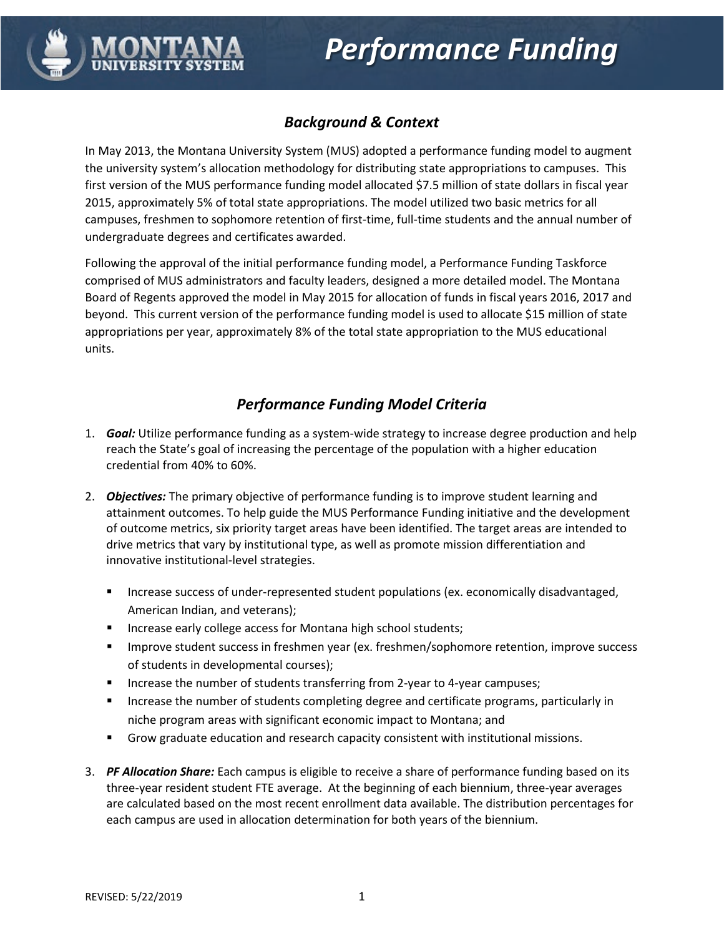



In May 2013, the Montana University System (MUS) adopted a performance funding model to augment the university system's allocation methodology for distributing state appropriations to campuses. This first version of the MUS performance funding model allocated \$7.5 million of state dollars in fiscal year 2015, approximately 5% of total state appropriations. The model utilized two basic metrics for all campuses, freshmen to sophomore retention of first-time, full-time students and the annual number of undergraduate degrees and certificates awarded.

Following the approval of the initial performance funding model, a Performance Funding Taskforce comprised of MUS administrators and faculty leaders, designed a more detailed model. The Montana Board of Regents approved the model in May 2015 for allocation of funds in fiscal years 2016, 2017 and beyond. This current version of the performance funding model is used to allocate \$15 million of state appropriations per year, approximately 8% of the total state appropriation to the MUS educational units.

## *Performance Funding Model Criteria*

- 1. *Goal:* Utilize performance funding as a system-wide strategy to increase degree production and help reach the State's goal of increasing the percentage of the population with a higher education credential from 40% to 60%.
- 2. *Objectives:* The primary objective of performance funding is to improve student learning and attainment outcomes. To help guide the MUS Performance Funding initiative and the development of outcome metrics, six priority target areas have been identified. The target areas are intended to drive metrics that vary by institutional type, as well as promote mission differentiation and innovative institutional-level strategies.
	- **Increase success of under-represented student populations (ex. economically disadvantaged,** American Indian, and veterans);
	- **Increase early college access for Montana high school students;**
	- **IMPROVE STARE STARE STARE STARE STARE IN FRAGGIOR STARE IN FIGUREY STARE IN FIGUREY SUCCESS** of students in developmental courses);
	- **Increase the number of students transferring from 2-year to 4-year campuses;**
	- **Increase the number of students completing degree and certificate programs, particularly in** niche program areas with significant economic impact to Montana; and
	- **Grow graduate education and research capacity consistent with institutional missions.**
- 3. *PF Allocation Share:* Each campus is eligible to receive a share of performance funding based on its three-year resident student FTE average. At the beginning of each biennium, three-year averages are calculated based on the most recent enrollment data available. The distribution percentages for each campus are used in allocation determination for both years of the biennium.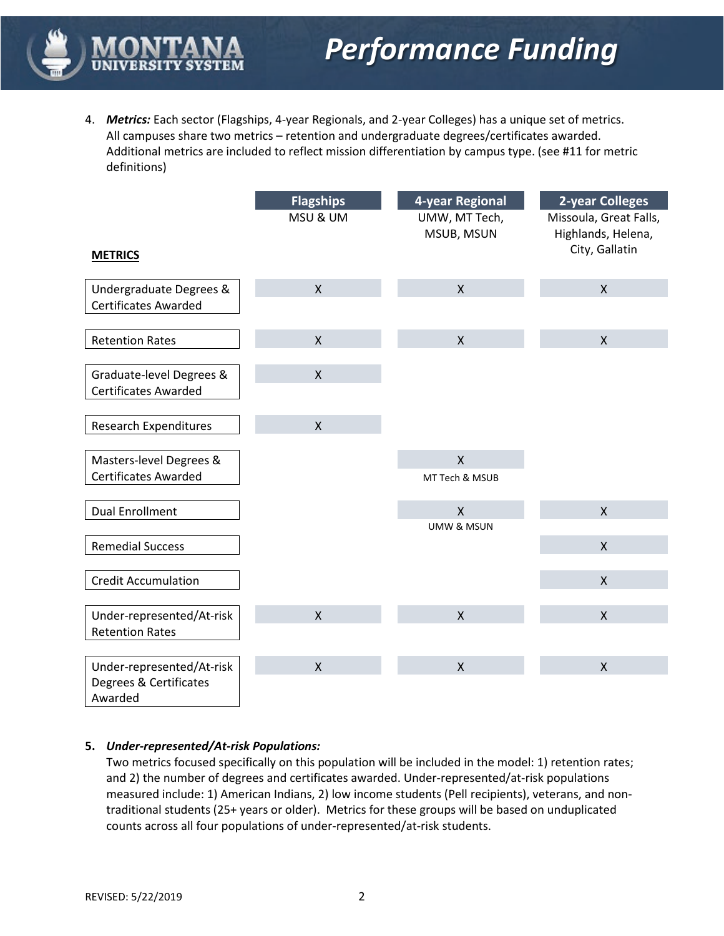4. *Metrics:* Each sector (Flagships, 4-year Regionals, and 2-year Colleges) has a unique set of metrics. All campuses share two metrics – retention and undergraduate degrees/certificates awarded. Additional metrics are included to reflect mission differentiation by campus type. (see #11 for metric definitions)

| <b>METRICS</b>                    | <b>Flagships</b><br>MSU & UM | 4-year Regional<br>UMW, MT Tech,<br>MSUB, MSUN | 2-year Colleges<br>Missoula, Great Falls,<br>Highlands, Helena,<br>City, Gallatin |
|-----------------------------------|------------------------------|------------------------------------------------|-----------------------------------------------------------------------------------|
|                                   |                              |                                                |                                                                                   |
| Undergraduate Degrees &           | $\mathsf{X}$                 | $\mathsf{X}$                                   | $\mathsf{X}$                                                                      |
| <b>Certificates Awarded</b>       |                              |                                                |                                                                                   |
| <b>Retention Rates</b>            | X                            | $\mathsf{X}$                                   | $\mathsf{x}$                                                                      |
|                                   |                              |                                                |                                                                                   |
| Graduate-level Degrees &          | X                            |                                                |                                                                                   |
| <b>Certificates Awarded</b>       |                              |                                                |                                                                                   |
| <b>Research Expenditures</b>      | $\mathsf{X}$                 |                                                |                                                                                   |
|                                   |                              |                                                |                                                                                   |
| Masters-level Degrees &           |                              | $\mathsf{x}$                                   |                                                                                   |
| <b>Certificates Awarded</b>       |                              | MT Tech & MSUB                                 |                                                                                   |
| <b>Dual Enrollment</b>            |                              | $\overline{X}$                                 | $\mathsf{X}$                                                                      |
|                                   |                              | <b>UMW &amp; MSUN</b>                          |                                                                                   |
| <b>Remedial Success</b>           |                              |                                                | $\mathsf{X}$                                                                      |
| <b>Credit Accumulation</b>        |                              |                                                | $\mathsf{X}$                                                                      |
|                                   |                              |                                                |                                                                                   |
| Under-represented/At-risk         | $\mathsf{x}$                 | $\mathsf{X}$                                   | $\mathsf{x}$                                                                      |
| <b>Retention Rates</b>            |                              |                                                |                                                                                   |
| Under-represented/At-risk         | $\mathsf{X}$                 | $\mathsf{X}$                                   | $\mathsf{X}$                                                                      |
| Degrees & Certificates<br>Awarded |                              |                                                |                                                                                   |

## **5.** *Under-represented/At-risk Populations:*

Two metrics focused specifically on this population will be included in the model: 1) retention rates; and 2) the number of degrees and certificates awarded. Under-represented/at-risk populations measured include: 1) American Indians, 2) low income students (Pell recipients), veterans, and nontraditional students (25+ years or older). Metrics for these groups will be based on unduplicated counts across all four populations of under-represented/at-risk students.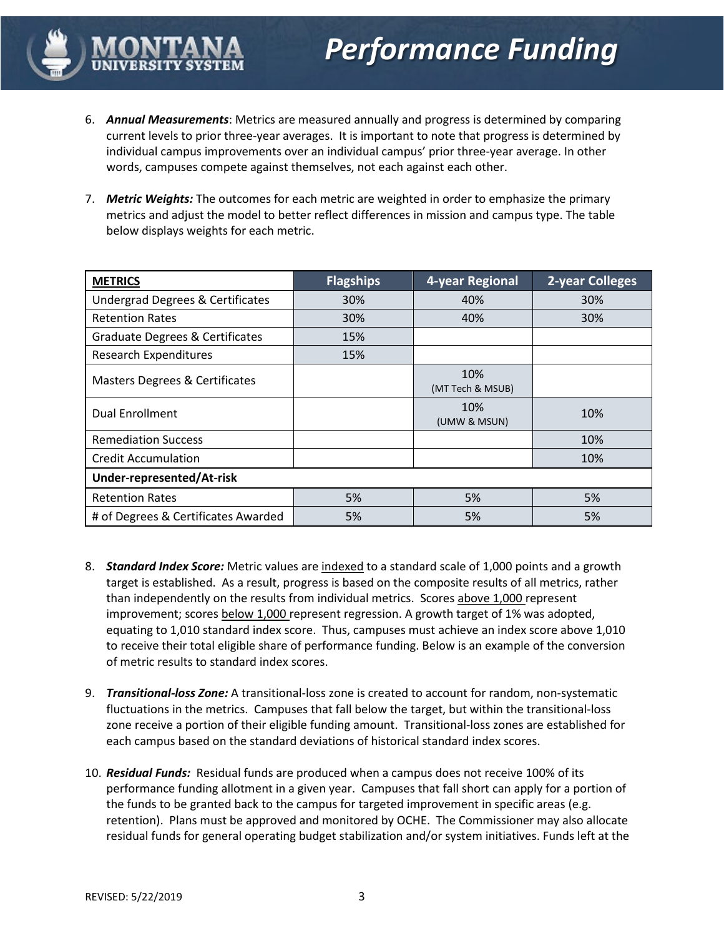

- 6. *Annual Measurements*: Metrics are measured annually and progress is determined by comparing current levels to prior three-year averages. It is important to note that progress is determined by individual campus improvements over an individual campus' prior three-year average. In other words, campuses compete against themselves, not each against each other.
- 7. *Metric Weights:* The outcomes for each metric are weighted in order to emphasize the primary metrics and adjust the model to better reflect differences in mission and campus type. The table below displays weights for each metric.

| <b>METRICS</b>                              | <b>Flagships</b> | 4-year Regional         | 2-year Colleges |  |
|---------------------------------------------|------------------|-------------------------|-----------------|--|
| <b>Undergrad Degrees &amp; Certificates</b> | 30%              | 40%                     | 30%             |  |
| <b>Retention Rates</b>                      | 30%              | 40%                     | 30%             |  |
| <b>Graduate Degrees &amp; Certificates</b>  | 15%              |                         |                 |  |
| <b>Research Expenditures</b>                | 15%              |                         |                 |  |
| <b>Masters Degrees &amp; Certificates</b>   |                  | 10%<br>(MT Tech & MSUB) |                 |  |
| <b>Dual Enrollment</b>                      |                  | 10%<br>(UMW & MSUN)     | 10%             |  |
| <b>Remediation Success</b>                  |                  |                         | 10%             |  |
| <b>Credit Accumulation</b>                  |                  |                         | 10%             |  |
| Under-represented/At-risk                   |                  |                         |                 |  |
| <b>Retention Rates</b>                      | 5%               | 5%                      | 5%              |  |
| # of Degrees & Certificates Awarded         | 5%               | 5%                      | 5%              |  |

- 8. *Standard Index Score:* Metric values are indexed to a standard scale of 1,000 points and a growth target is established. As a result, progress is based on the composite results of all metrics, rather than independently on the results from individual metrics.Scores above 1,000 represent improvement; scores below 1,000 represent regression. A growth target of 1% was adopted, equating to 1,010 standard index score. Thus, campuses must achieve an index score above 1,010 to receive their total eligible share of performance funding. Below is an example of the conversion of metric results to standard index scores.
- 9. *Transitional-loss Zone:* A transitional-loss zone is created to account for random, non-systematic fluctuations in the metrics. Campuses that fall below the target, but within the transitional-loss zone receive a portion of their eligible funding amount. Transitional-loss zones are established for each campus based on the standard deviations of historical standard index scores.
- 10. *Residual Funds:* Residual funds are produced when a campus does not receive 100% of its performance funding allotment in a given year. Campuses that fall short can apply for a portion of the funds to be granted back to the campus for targeted improvement in specific areas (e.g. retention). Plans must be approved and monitored by OCHE. The Commissioner may also allocate residual funds for general operating budget stabilization and/or system initiatives. Funds left at the